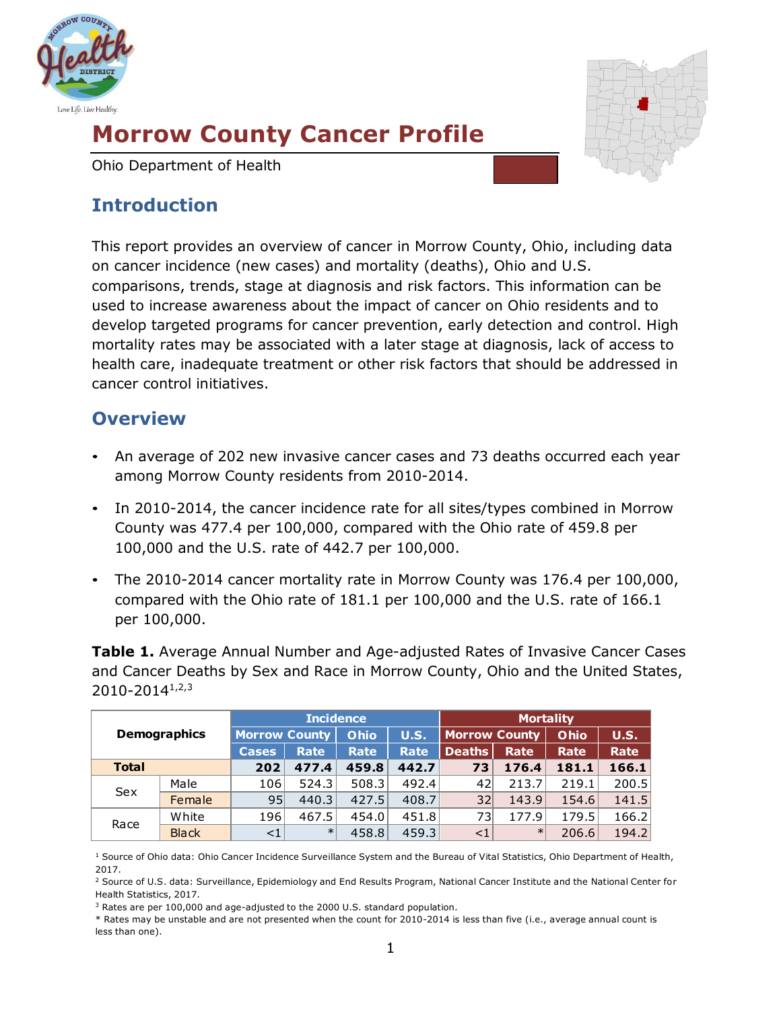

# **Morrow County Cancer Profile**

Ohio Department of Health

## **Introduction**

This report provides an overview of cancer in Morrow County, Ohio, including data on cancer incidence (new cases) and mortality (deaths), Ohio and U.S. comparisons, trends, stage at diagnosis and risk factors. This information can be used to increase awareness about the impact of cancer on Ohio residents and to develop targeted programs for cancer prevention, early detection and control. High mortality rates may be associated with a later stage at diagnosis, lack of access to health care, inadequate treatment or other risk factors that should be addressed in cancer control initiatives.

## **Overview**

- An average of 202 new invasive cancer cases and 73 deaths occurred each year among Morrow County residents from 2010-2014.
- In 2010-2014, the cancer incidence rate for all sites/types combined in Morrow County was 477.4 per 100,000, compared with the Ohio rate of 459.8 per 100,000 and the U.S. rate of 442.7 per 100,000.
- The 2010-2014 cancer mortality rate in Morrow County was 176.4 per 100,000, compared with the Ohio rate of 181.1 per 100,000 and the U.S. rate of 166.1 per 100,000.

**Table 1.** Average Annual Number and Age-adjusted Rates of Invasive Cancer Cases and Cancer Deaths by Sex and Race in Morrow County, Ohio and the United States, 2010-20141,2,3

| <b>Demographics</b> |              | <b>Incidence</b>     |        |             |       | <b>Mortality</b>     |             |             |             |  |
|---------------------|--------------|----------------------|--------|-------------|-------|----------------------|-------------|-------------|-------------|--|
|                     |              | <b>Morrow County</b> |        | Ohio        | U.S.  | <b>Morrow County</b> |             | <b>Ohio</b> | <b>U.S.</b> |  |
|                     |              | <b>Cases</b>         | Rate   | <b>Rate</b> | Rate  | <b>Deaths</b>        | <b>Rate</b> | Rate        | Rate        |  |
| <b>Total</b>        |              | 202                  | 477.4  | 459.8       | 442.7 | 73                   | 176.4       | 181.1       | 166.1       |  |
| Sex                 | Male         | 106                  | 524.3  | 508.3       | 492.4 | 42                   | 213.7       | 219.1       | 200.5       |  |
|                     | Female       | 95                   | 440.3  | 427.5       | 408.7 | 32                   | 143.9       | 154.6       | 141.5       |  |
| Race                | White        | 196                  | 467.5  | 454.0       | 451.8 | 73                   | 177.9       | 179.5       | 166.2       |  |
|                     | <b>Black</b> | $<$ 1                | $\ast$ | 458.8       | 459.3 | $<$ 1                | $\ast$      | 206.6       | 194.2       |  |

<sup>1</sup> Source of Ohio data: Ohio Cancer Incidence Surveillance System and the Bureau of Vital Statistics, Ohio Department of Health, 2017.

<sup>&</sup>lt;sup>2</sup> Source of U.S. data: Surveillance, Epidemiology and End Results Program, National Cancer Institute and the National Center for Health Statistics, 2017.

<sup>3</sup> Rates are per 100,000 and age-adjusted to the 2000 U.S. standard population.

<sup>\*</sup> Rates may be unstable and are not presented when the count for 2010-2014 is less than five (i.e., average annual count is less than one).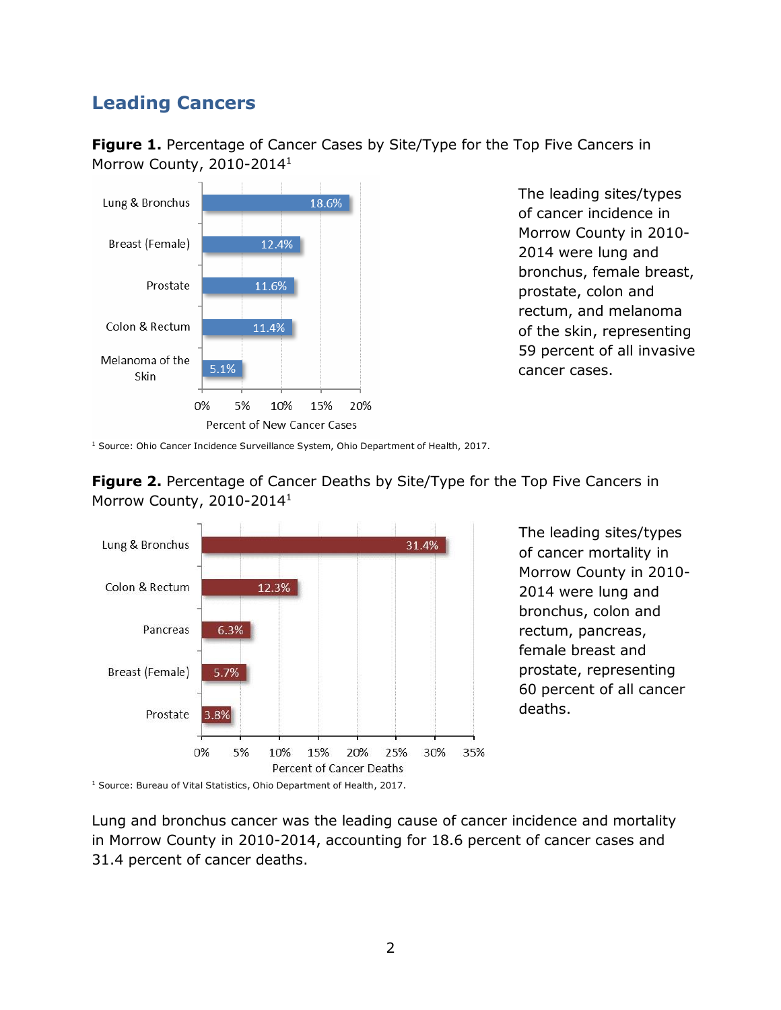## **Leading Cancers**

**Figure 1.** Percentage of Cancer Cases by Site/Type for the Top Five Cancers in Morrow County, 2010-2014<sup>1</sup>



The leading sites/types of cancer incidence in Morrow County in 2010- 2014 were lung and bronchus, female breast, prostate, colon and rectum, and melanoma of the skin, representing 59 percent of all invasive cancer cases.

<sup>1</sup> Source: Ohio Cancer Incidence Surveillance System, Ohio Department of Health, 2017.





The leading sites/types of cancer mortality in Morrow County in 2010- 2014 were lung and bronchus, colon and rectum, pancreas, female breast and prostate, representing 60 percent of all cancer deaths.

<sup>1</sup> Source: Bureau of Vital Statistics, Ohio Department of Health, 2017.

Lung and bronchus cancer was the leading cause of cancer incidence and mortality in Morrow County in 2010-2014, accounting for 18.6 percent of cancer cases and 31.4 percent of cancer deaths.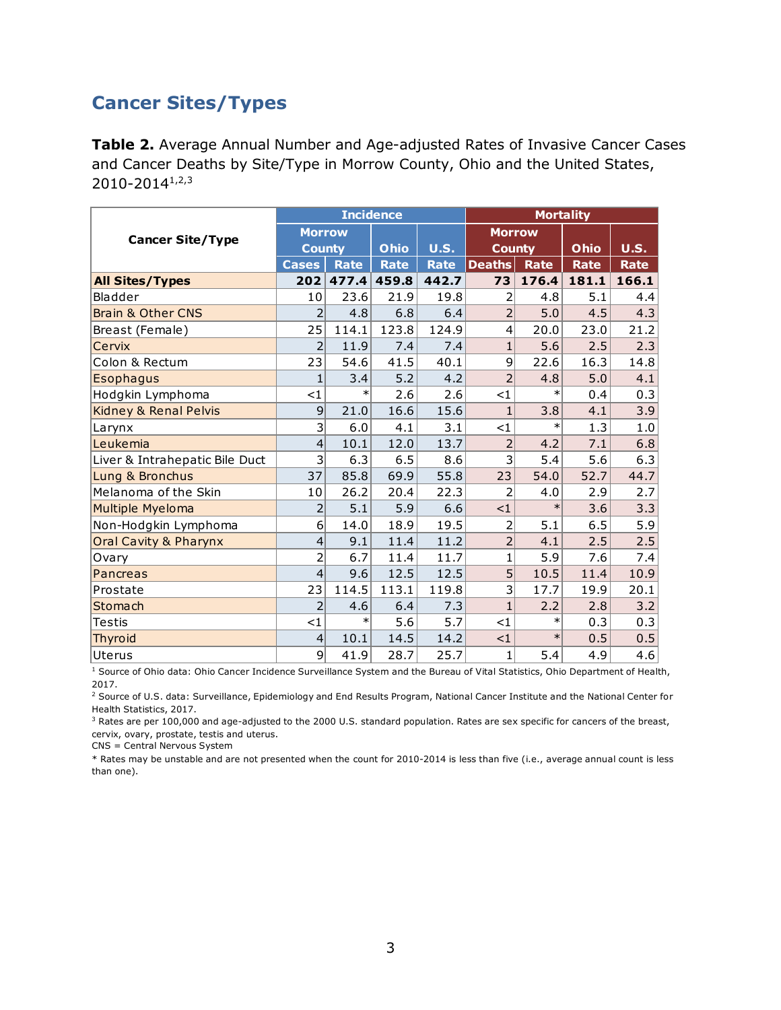### **Cancer Sites/Types**

**Table 2.** Average Annual Number and Age-adjusted Rates of Invasive Cancer Cases and Cancer Deaths by Site/Type in Morrow County, Ohio and the United States, 2010-20141,2,3

|                                  |                           |             | <b>Incidence</b> |             | <b>Mortality</b> |             |       |             |
|----------------------------------|---------------------------|-------------|------------------|-------------|------------------|-------------|-------|-------------|
|                                  | <b>Morrow</b>             |             |                  |             | <b>Morrow</b>    |             |       |             |
| <b>Cancer Site/Type</b>          | <b>County</b>             |             | Ohio             | <b>U.S.</b> | <b>County</b>    |             | Ohio  | <b>U.S.</b> |
|                                  | <b>Cases</b>              | <b>Rate</b> | <b>Rate</b>      | <b>Rate</b> | <b>Deaths</b>    | <b>Rate</b> | Rate  | Rate        |
| <b>All Sites/Types</b>           | 202                       | 477.4       | 459.8            | 442.7       | 73               | 176.4       | 181.1 | 166.1       |
| Bladder                          | 10                        | 23.6        | 21.9             | 19.8        | 2                | 4.8         | 5.1   | 4.4         |
| <b>Brain &amp; Other CNS</b>     | $\overline{2}$            | 4.8         | 6.8              | 6.4         | $\overline{2}$   | 5.0         | 4.5   | 4.3         |
| Breast (Female)                  | 25                        | 114.1       | 123.8            | 124.9       | $\vert 4 \vert$  | 20.0        | 23.0  | 21.2        |
| Cervix                           | $\overline{2}$            | 11.9        | 7.4              | 7.4         | 1                | 5.6         | 2.5   | 2.3         |
| Colon & Rectum                   | 23                        | 54.6        | 41.5             | 40.1        | $\mathsf{g}$     | 22.6        | 16.3  | 14.8        |
| <b>Esophagus</b>                 | $\mathbf{1}$              | 3.4         | 5.2              | 4.2         | $\overline{2}$   | 4.8         | 5.0   | 4.1         |
| Hodgkin Lymphoma                 | $<$ 1                     | $\ast$      | 2.6              | 2.6         | <1               | $\ast$      | 0.4   | 0.3         |
| Kidney & Renal Pelvis            | 9                         | 21.0        | 16.6             | 15.6        | $\mathbf{1}$     | 3.8         | 4.1   | 3.9         |
| Larynx                           | $\overline{\overline{3}}$ | 6.0         | 4.1              | 3.1         | <1               | $\ast$      | 1.3   | 1.0         |
| Leukemia                         | 4                         | 10.1        | 12.0             | 13.7        | $\overline{2}$   | 4.2         | 7.1   | 6.8         |
| Liver & Intrahepatic Bile Duct   | $\mathsf{B}$              | 6.3         | 6.5              | 8.6         | $\mathsf{B}$     | 5.4         | 5.6   | 6.3         |
| Lung & Bronchus                  | 37                        | 85.8        | 69.9             | 55.8        | 23               | 54.0        | 52.7  | 44.7        |
| Melanoma of the Skin             | 10                        | 26.2        | 20.4             | 22.3        | $\overline{2}$   | 4.0         | 2.9   | 2.7         |
| Multiple Myeloma                 | $\overline{2}$            | 5.1         | 5.9              | 6.6         | <1               | $\ast$      | 3.6   | 3.3         |
| Non-Hodgkin Lymphoma             | 6                         | 14.0        | 18.9             | 19.5        | 2                | 5.1         | 6.5   | 5.9         |
| <b>Oral Cavity &amp; Pharynx</b> | 4                         | 9.1         | 11.4             | 11.2        | $\overline{2}$   | 4.1         | 2.5   | 2.5         |
| Ovary                            | $\overline{2}$            | 6.7         | 11.4             | 11.7        | $\mathbf 1$      | 5.9         | 7.6   | 7.4         |
| Pancreas                         | $\overline{\mathcal{L}}$  | 9.6         | 12.5             | 12.5        | 5                | 10.5        | 11.4  | 10.9        |
| Prostate                         | 23                        | 114.5       | 113.1            | 119.8       | $\overline{3}$   | 17.7        | 19.9  | 20.1        |
| Stomach                          | $\overline{2}$            | 4.6         | 6.4              | 7.3         | $\overline{1}$   | 2.2         | 2.8   | 3.2         |
| <b>Testis</b>                    | $\leq$ 1                  | $\ast$      | 5.6              | 5.7         | $<$ 1            | $\ast$      | 0.3   | 0.3         |
| <b>Thyroid</b>                   | 4                         | 10.1        | 14.5             | 14.2        | <1               | $\ast$      | 0.5   | 0.5         |
| Uterus                           | 9                         | 41.9        | 28.7             | 25.7        | $\mathbf{1}$     | 5.4         | 4.9   | 4.6         |

<sup>1</sup> Source of Ohio data: Ohio Cancer Incidence Surveillance System and the Bureau of Vital Statistics, Ohio Department of Health, 2017.

<sup>2</sup> Source of U.S. data: Surveillance, Epidemiology and End Results Program, National Cancer Institute and the National Center for Health Statistics, 2017.

<sup>3</sup> Rates are per 100,000 and age-adjusted to the 2000 U.S. standard population. Rates are sex specific for cancers of the breast, cervix, ovary, prostate, testis and uterus.

CNS = Central Nervous System

\* Rates may be unstable and are not presented when the count for 2010-2014 is less than five (i.e., average annual count is less than one).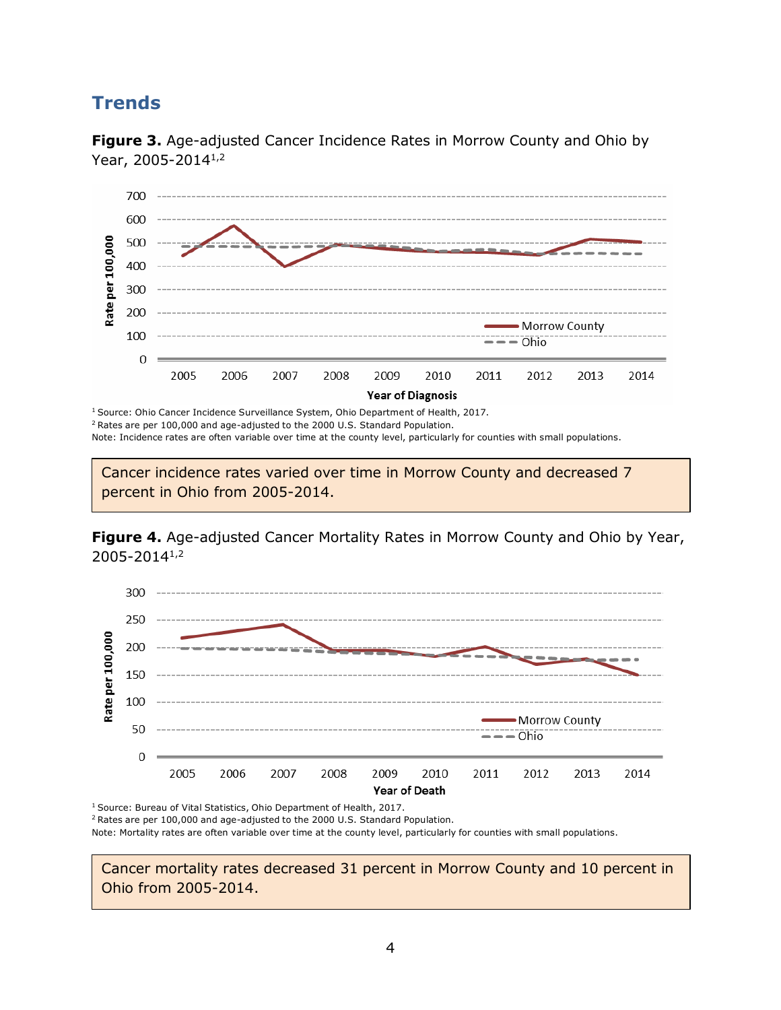### **Trends**



**Figure 3.** Age-adjusted Cancer Incidence Rates in Morrow County and Ohio by Year, 2005-2014 1,2

<sup>1</sup> Source: Ohio Cancer Incidence Surveillance System, Ohio Department of Health, 2017. <sup>2</sup> Rates are per 100,000 and age-adjusted to the 2000 U.S. Standard Population.

Note: Incidence rates are often variable over time at the county level, particularly for counties with small populations.

Cancer incidence rates varied over time in Morrow County and decreased 7 percent in Ohio from 2005-2014.





<sup>1</sup> Source: Bureau of Vital Statistics, Ohio Department of Health, 2017.

<sup>2</sup>Rates are per 100,000 and age-adjusted to the 2000 U.S. Standard Population.

Note: Mortality rates are often variable over time at the county level, particularly for counties with small populations.

Cancer mortality rates decreased 31 percent in Morrow County and 10 percent in Ohio from 2005-2014.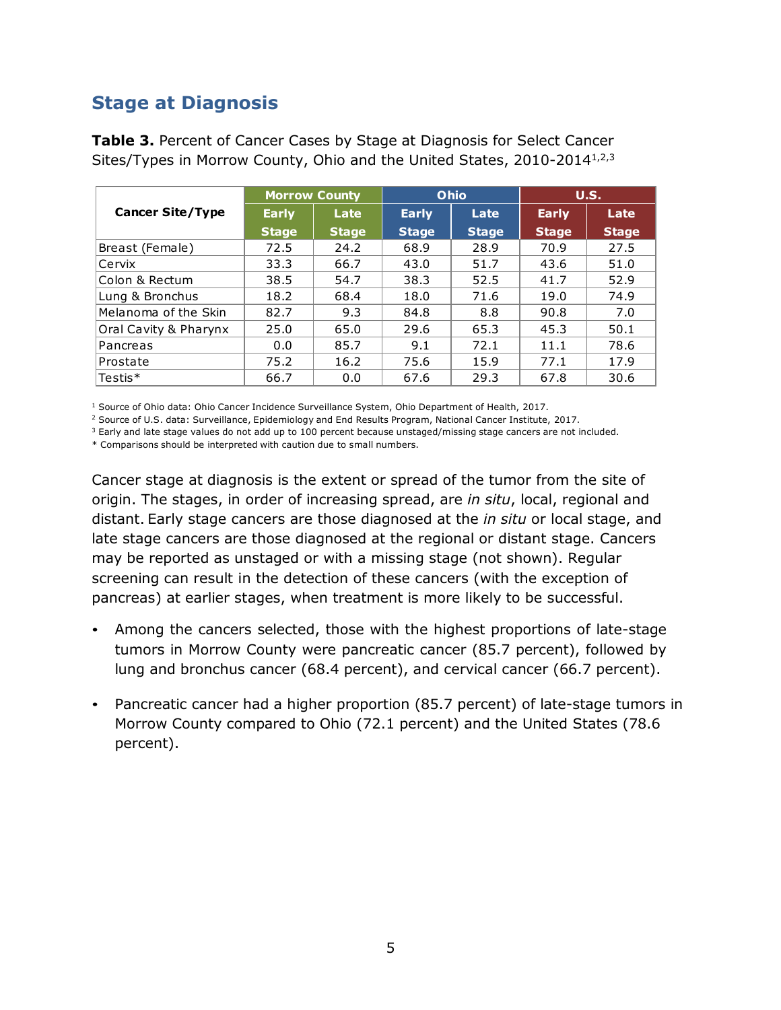## **Stage at Diagnosis**

|                         |              | <b>Morrow County</b> |              | Ohio         | U.S.         |              |
|-------------------------|--------------|----------------------|--------------|--------------|--------------|--------------|
| <b>Cancer Site/Type</b> | <b>Early</b> | Late                 | <b>Early</b> | Late         | <b>Early</b> | Late         |
|                         | <b>Stage</b> | <b>Stage</b>         | <b>Stage</b> | <b>Stage</b> | <b>Stage</b> | <b>Stage</b> |
| Breast (Female)         | 72.5         | 24.2                 | 68.9         | 28.9         | 70.9         | 27.5         |
| Cervix                  | 33.3         | 66.7                 | 43.0         | 51.7         | 43.6         | 51.0         |
| Colon & Rectum          | 38.5         | 54.7                 | 38.3         | 52.5         | 41.7         | 52.9         |
| Lung & Bronchus         | 18.2         | 68.4                 | 18.0         | 71.6         | 19.0         | 74.9         |
| Melanoma of the Skin    | 82.7         | 9.3                  | 84.8         | 8.8          | 90.8         | 7.0          |
| Oral Cavity & Pharynx   | 25.0         | 65.0                 | 29.6         | 65.3         | 45.3         | 50.1         |
| Pancreas                | 0.0          | 85.7                 | 9.1          | 72.1         | 11.1         | 78.6         |
| Prostate                | 75.2         | 16.2                 | 75.6         | 15.9         | 77.1         | 17.9         |
| $\sf{Testis}$ *         | 66.7         | 0.0                  | 67.6         | 29.3         | 67.8         | 30.6         |

**Table 3.** Percent of Cancer Cases by Stage at Diagnosis for Select Cancer Sites/Types in Morrow County, Ohio and the United States, 2010-2014<sup>1,2,3</sup>

<sup>1</sup> Source of Ohio data: Ohio Cancer Incidence Surveillance System, Ohio Department of Health, 2017.

<sup>2</sup> Source of U.S. data: Surveillance, Epidemiology and End Results Program, National Cancer Institute, 2017.

 $3$  Early and late stage values do not add up to 100 percent because unstaged/missing stage cancers are not included.

\* Comparisons should be interpreted with caution due to small numbers.

Cancer stage at diagnosis is the extent or spread of the tumor from the site of origin. The stages, in order of increasing spread, are *in situ*, local, regional and distant. Early stage cancers are those diagnosed at the *in situ* or local stage, and late stage cancers are those diagnosed at the regional or distant stage. Cancers may be reported as unstaged or with a missing stage (not shown). Regular screening can result in the detection of these cancers (with the exception of pancreas) at earlier stages, when treatment is more likely to be successful.

- Among the cancers selected, those with the highest proportions of late-stage tumors in Morrow County were pancreatic cancer (85.7 percent), followed by lung and bronchus cancer (68.4 percent), and cervical cancer (66.7 percent).
- Pancreatic cancer had a higher proportion (85.7 percent) of late-stage tumors in Morrow County compared to Ohio (72.1 percent) and the United States (78.6 percent).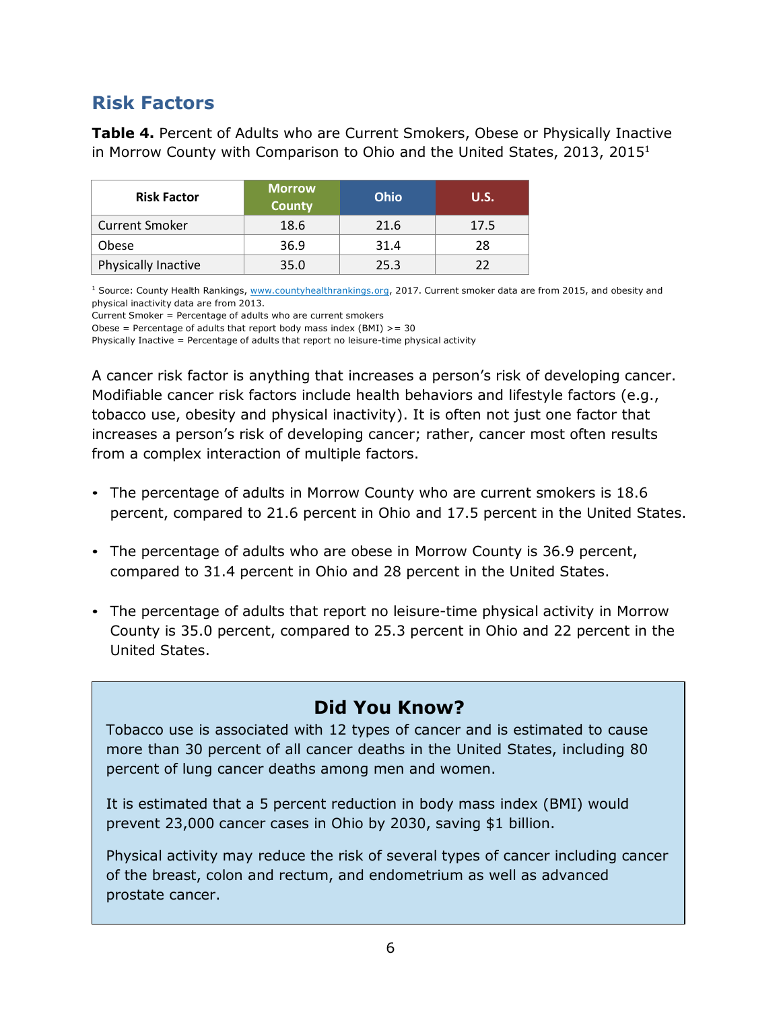## **Risk Factors**

**Table 4.** Percent of Adults who are Current Smokers, Obese or Physically Inactive in Morrow County with Comparison to Ohio and the United States, 2013, 2015 1

| <b>Risk Factor</b>    | <b>Morrow</b><br><b>County</b> | Ohio | <b>U.S.</b> |  |
|-----------------------|--------------------------------|------|-------------|--|
| <b>Current Smoker</b> | 18.6                           | 21.6 | 17.5        |  |
| Obese                 | 36.9                           | 31.4 | 28          |  |
| Physically Inactive   | 35.0                           | 25.3 | つつ          |  |

<sup>1</sup> Source: County Health Rankings, [www.countyhealthrankings.org,](http://www.countyhealthrankings.org/) 2017. Current smoker data are from 2015, and obesity and physical inactivity data are from 2013.

Current Smoker = Percentage of adults who are current smokers

Obese = Percentage of adults that report body mass index  $(BMI)$  >= 30

Physically Inactive = Percentage of adults that report no leisure-time physical activity

A cancer risk factor is anything that increases a person's risk of developing cancer. Modifiable cancer risk factors include health behaviors and lifestyle factors (e.g., tobacco use, obesity and physical inactivity). It is often not just one factor that increases a person's risk of developing cancer; rather, cancer most often results from a complex interaction of multiple factors.

- The percentage of adults in Morrow County who are current smokers is 18.6 percent, compared to 21.6 percent in Ohio and 17.5 percent in the United States.
- The percentage of adults who are obese in Morrow County is 36.9 percent, compared to 31.4 percent in Ohio and 28 percent in the United States.
- The percentage of adults that report no leisure-time physical activity in Morrow County is 35.0 percent, compared to 25.3 percent in Ohio and 22 percent in the United States.

### **Did You Know?**

Tobacco use is associated with 12 types of cancer and is estimated to cause more than 30 percent of all cancer deaths in the United States, including 80 percent of lung cancer deaths among men and women.

It is estimated that a 5 percent reduction in body mass index (BMI) would prevent 23,000 cancer cases in Ohio by 2030, saving \$1 billion.

Physical activity may reduce the risk of several types of cancer including cancer of the breast, colon and rectum, and endometrium as well as advanced prostate cancer.